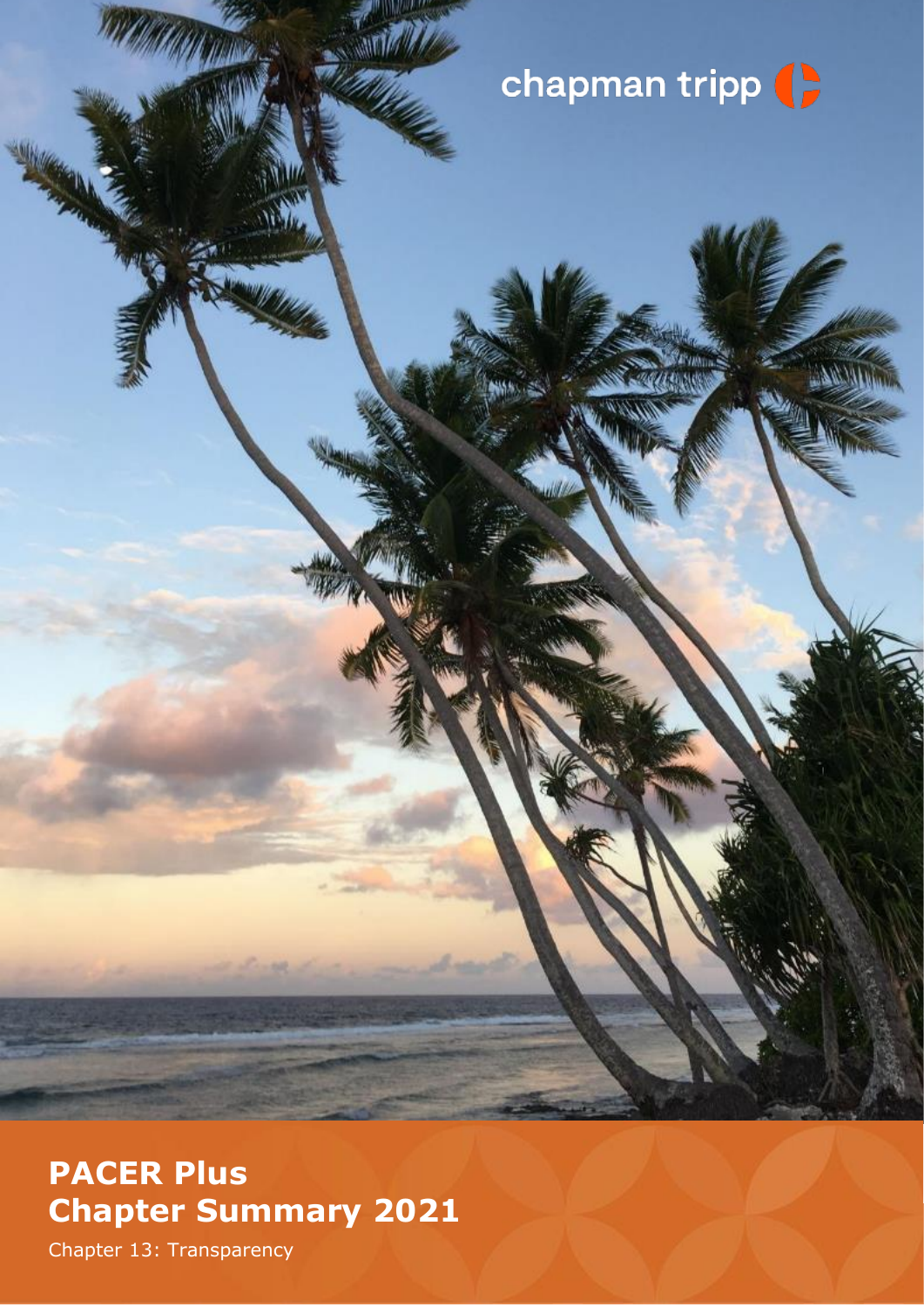## chapman tripp (

## **PACER Plus Chapter Summary 2021**

Chapter 13: Transparency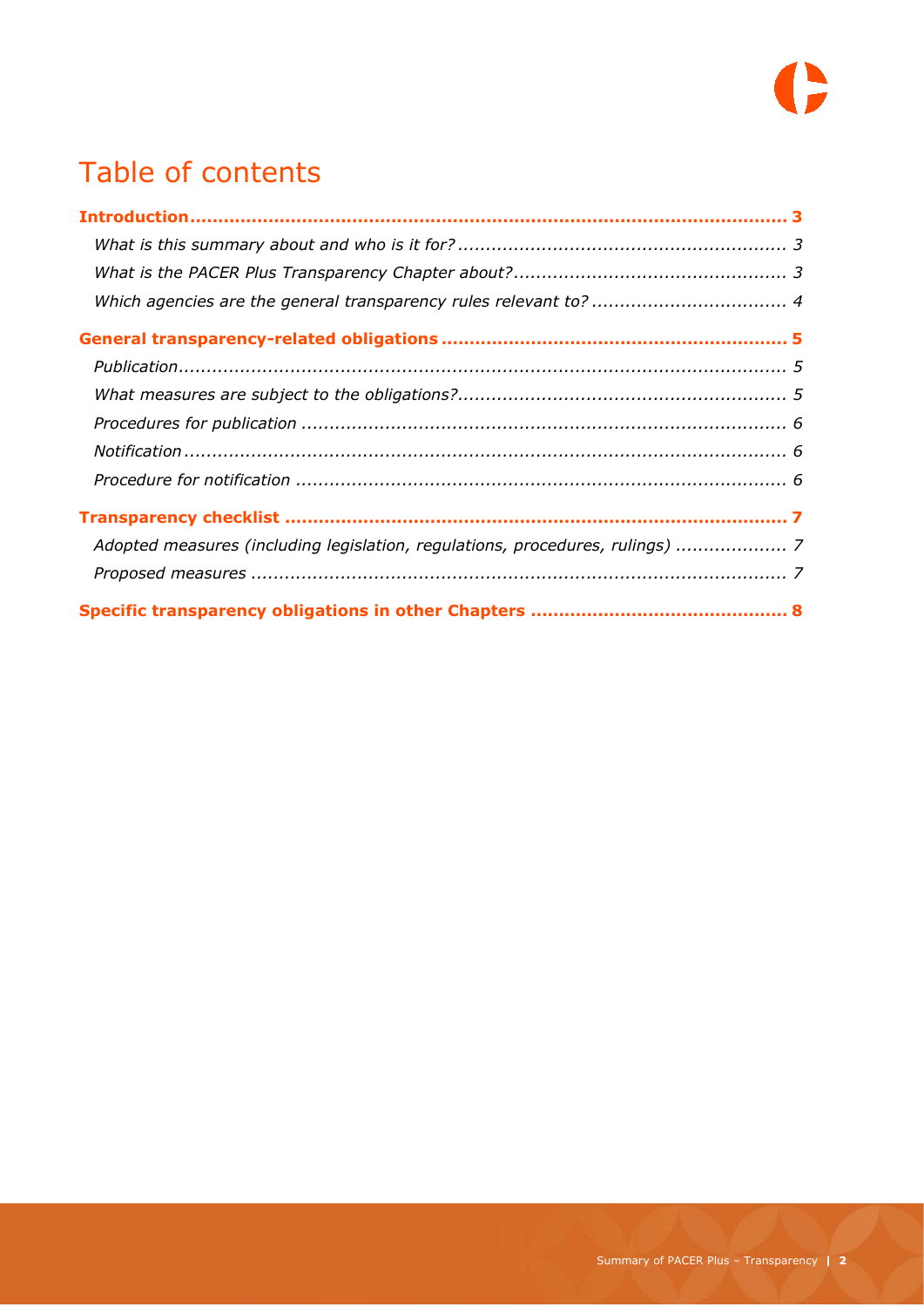

## Table of contents

| Adopted measures (including legislation, regulations, procedures, rulings)  7 |  |
|-------------------------------------------------------------------------------|--|
|                                                                               |  |
|                                                                               |  |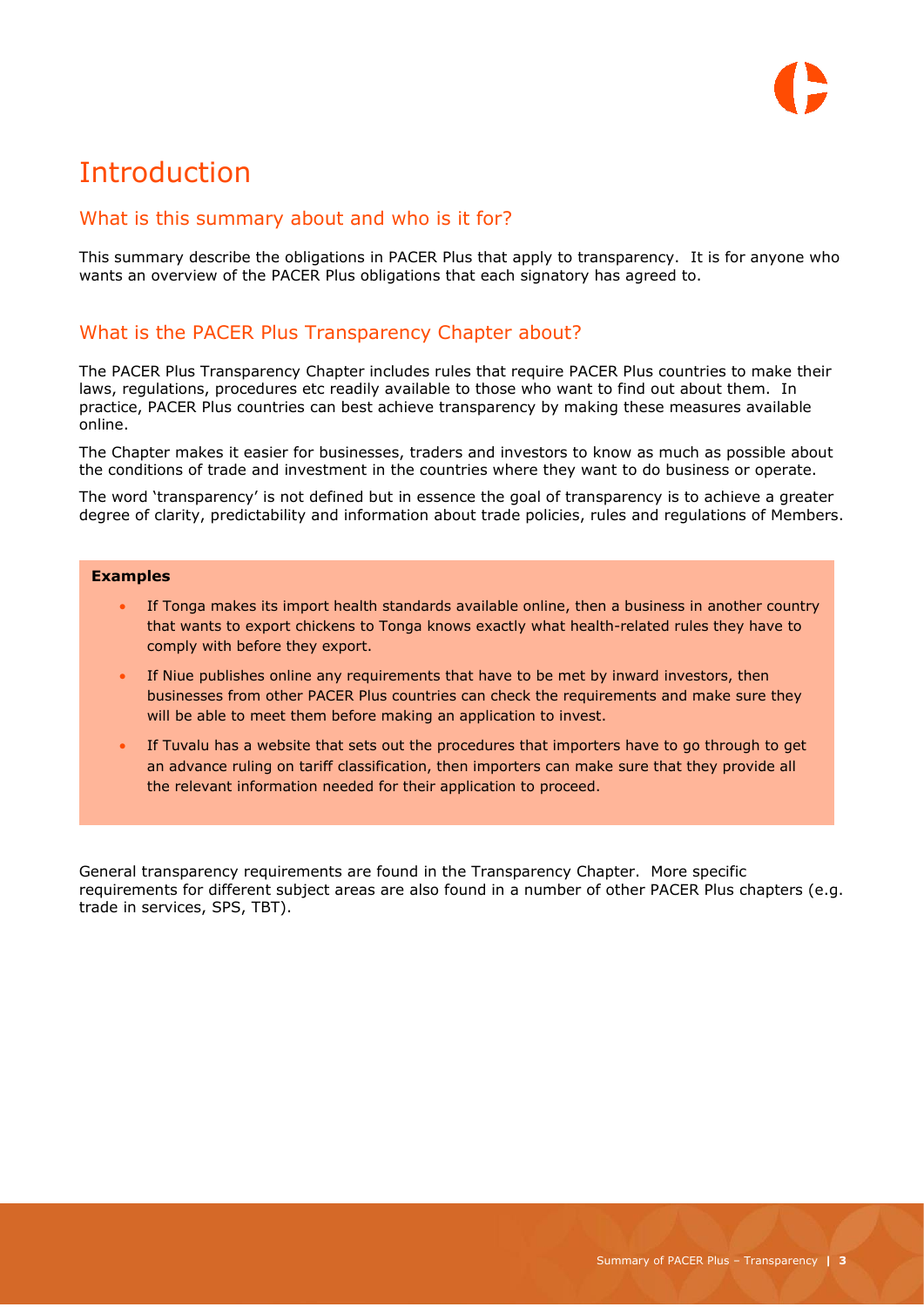## <span id="page-2-0"></span>**Introduction**

#### <span id="page-2-1"></span>What is this summary about and who is it for?

This summary describe the obligations in PACER Plus that apply to transparency. It is for anyone who wants an overview of the PACER Plus obligations that each signatory has agreed to.

#### <span id="page-2-2"></span>What is the PACER Plus Transparency Chapter about?

The PACER Plus Transparency Chapter includes rules that require PACER Plus countries to make their laws, regulations, procedures etc readily available to those who want to find out about them. In practice, PACER Plus countries can best achieve transparency by making these measures available online.

The Chapter makes it easier for businesses, traders and investors to know as much as possible about the conditions of trade and investment in the countries where they want to do business or operate.

The word 'transparency' is not defined but in essence the goal of transparency is to achieve a greater degree of clarity, predictability and information about trade policies, rules and regulations of Members.

#### **Examples**

- If Tonga makes its import health standards available online, then a business in another country that wants to export chickens to Tonga knows exactly what health-related rules they have to comply with before they export.
- If Niue publishes online any requirements that have to be met by inward investors, then businesses from other PACER Plus countries can check the requirements and make sure they will be able to meet them before making an application to invest.
- If Tuvalu has a website that sets out the procedures that importers have to go through to get an advance ruling on tariff classification, then importers can make sure that they provide all the relevant information needed for their application to proceed.

General transparency requirements are found in the Transparency Chapter. More specific requirements for different subject areas are also found in a number of other PACER Plus chapters (e.g. trade in services, SPS, TBT).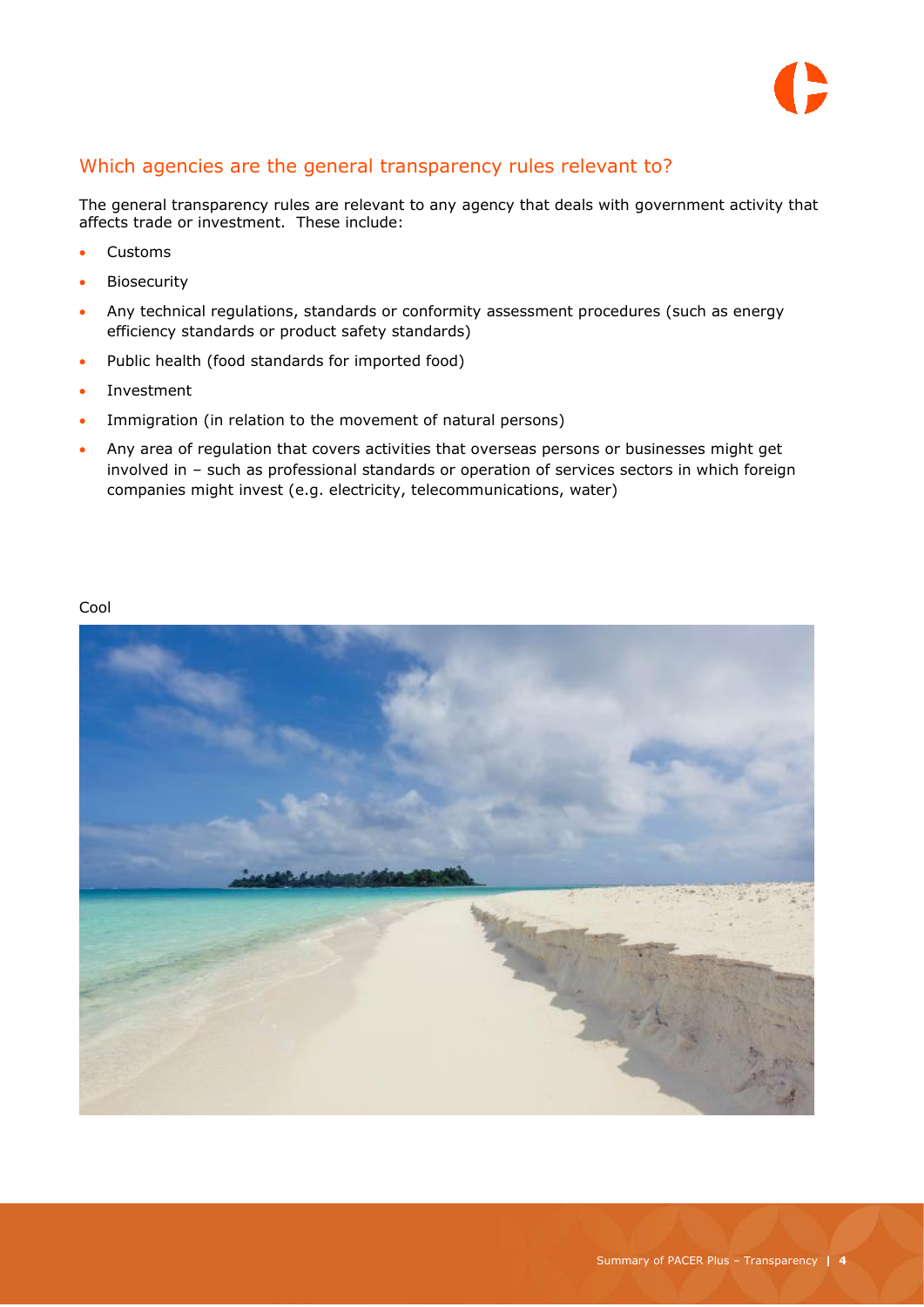

#### <span id="page-3-0"></span>Which agencies are the general transparency rules relevant to?

The general transparency rules are relevant to any agency that deals with government activity that affects trade or investment. These include:

- Customs
- Biosecurity
- Any technical regulations, standards or conformity assessment procedures (such as energy efficiency standards or product safety standards)
- Public health (food standards for imported food)
- Investment
- Immigration (in relation to the movement of natural persons)
- Any area of regulation that covers activities that overseas persons or businesses might get involved in – such as professional standards or operation of services sectors in which foreign companies might invest (e.g. electricity, telecommunications, water)

#### Cool

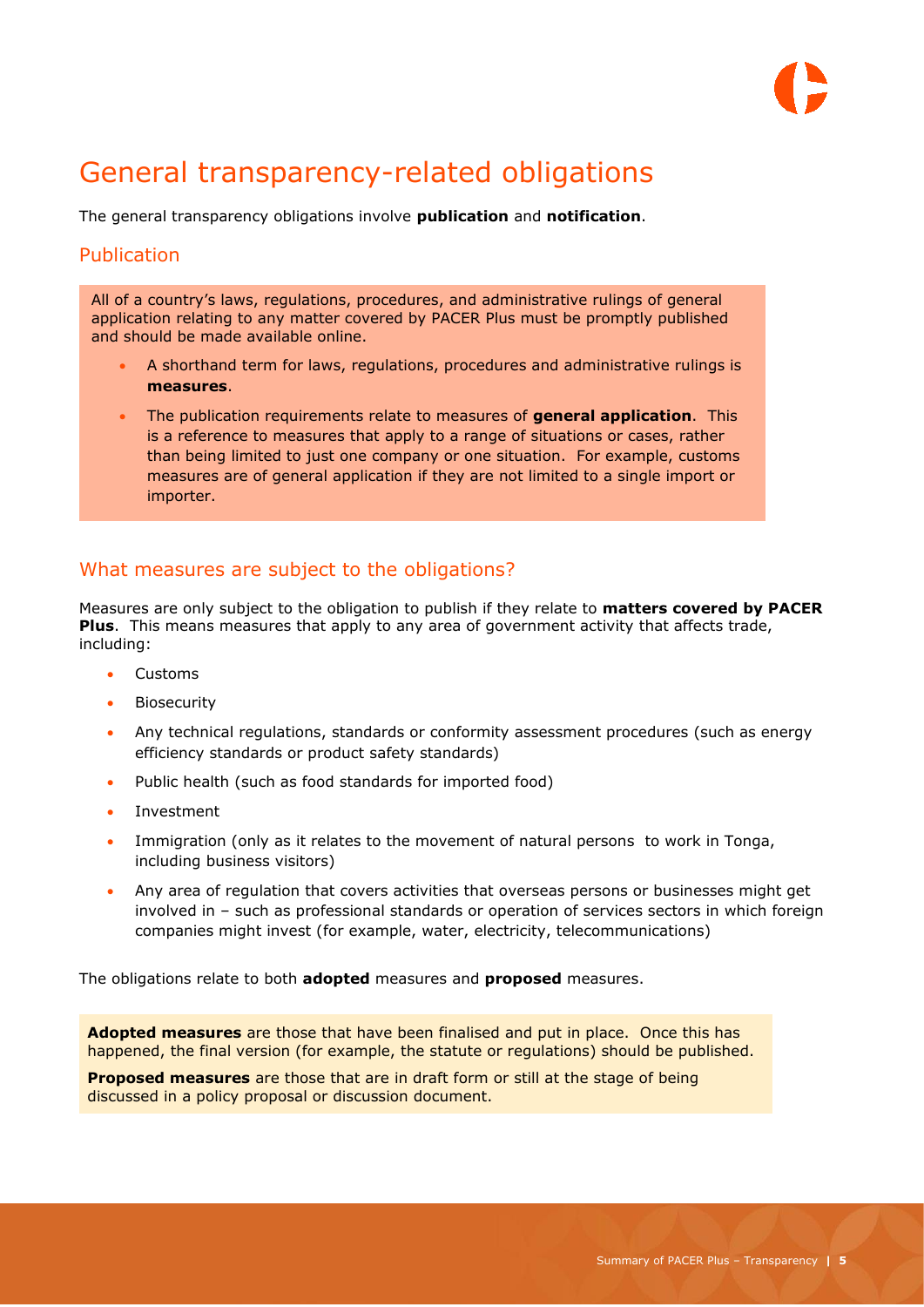

### <span id="page-4-0"></span>General transparency-related obligations

The general transparency obligations involve **publication** and **notification**.

#### <span id="page-4-1"></span>**Publication**

All of a country's laws, regulations, procedures, and administrative rulings of general application relating to any matter covered by PACER Plus must be promptly published and should be made available online.

- A shorthand term for laws, regulations, procedures and administrative rulings is **measures**.
- The publication requirements relate to measures of **general application**. This is a reference to measures that apply to a range of situations or cases, rather than being limited to just one company or one situation. For example, customs measures are of general application if they are not limited to a single import or importer.

#### <span id="page-4-2"></span>What measures are subject to the obligations?

Measures are only subject to the obligation to publish if they relate to **matters covered by PACER Plus**. This means measures that apply to any area of government activity that affects trade, including:

- Customs
- Biosecurity
- Any technical regulations, standards or conformity assessment procedures (such as energy efficiency standards or product safety standards)
- Public health (such as food standards for imported food)
- Investment
- Immigration (only as it relates to the movement of natural persons to work in Tonga, including business visitors)
- Any area of regulation that covers activities that overseas persons or businesses might get involved in – such as professional standards or operation of services sectors in which foreign companies might invest (for example, water, electricity, telecommunications)

The obligations relate to both **adopted** measures and **proposed** measures.

**Adopted measures** are those that have been finalised and put in place. Once this has happened, the final version (for example, the statute or regulations) should be published.

**Proposed measures** are those that are in draft form or still at the stage of being discussed in a policy proposal or discussion document.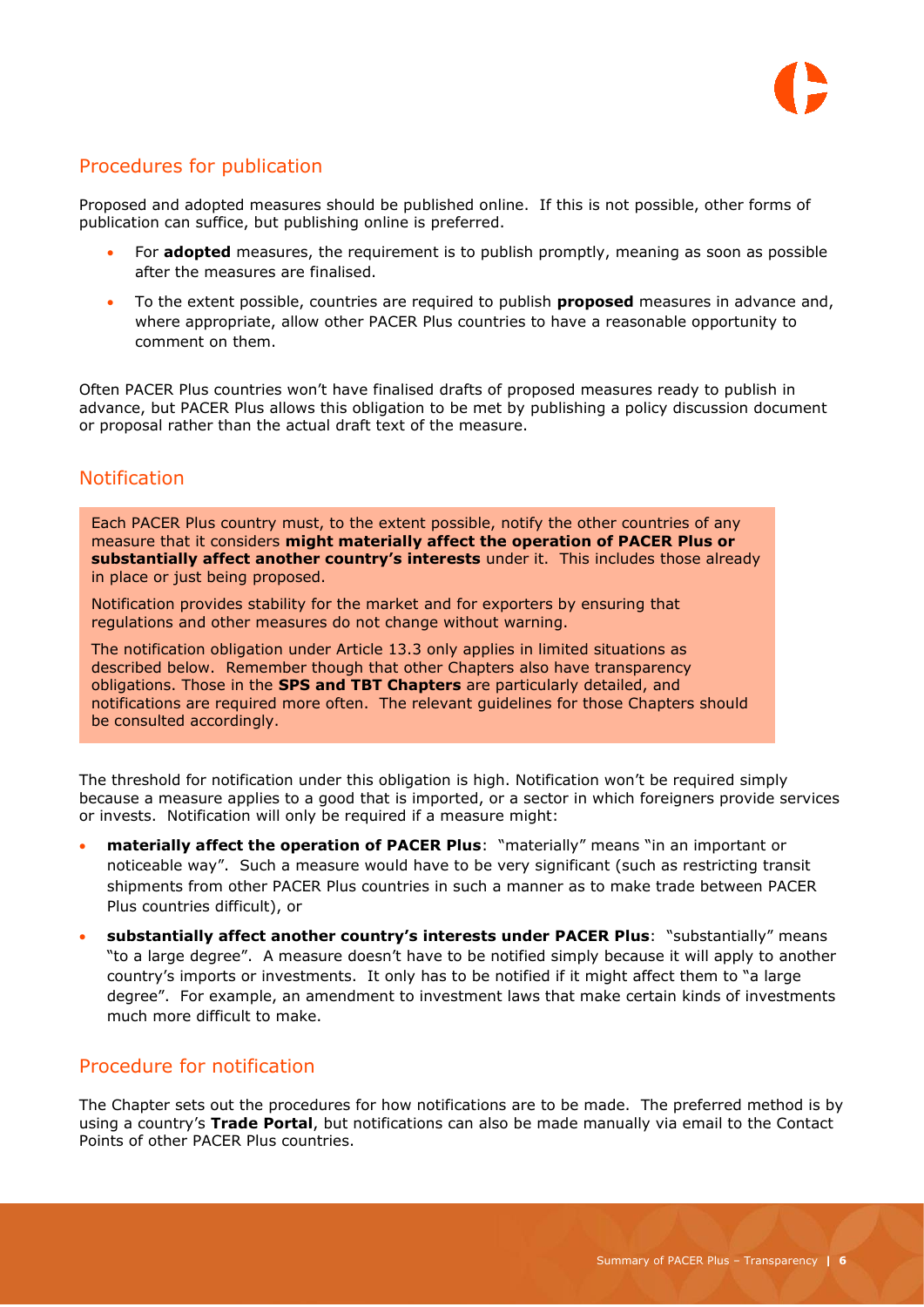

#### <span id="page-5-0"></span>Procedures for publication

Proposed and adopted measures should be published online. If this is not possible, other forms of publication can suffice, but publishing online is preferred.

- For **adopted** measures, the requirement is to publish promptly, meaning as soon as possible after the measures are finalised.
- To the extent possible, countries are required to publish **proposed** measures in advance and, where appropriate, allow other PACER Plus countries to have a reasonable opportunity to comment on them.

Often PACER Plus countries won't have finalised drafts of proposed measures ready to publish in advance, but PACER Plus allows this obligation to be met by publishing a policy discussion document or proposal rather than the actual draft text of the measure.

#### <span id="page-5-1"></span>**Notification**

Each PACER Plus country must, to the extent possible, notify the other countries of any measure that it considers **might materially affect the operation of PACER Plus or substantially affect another country's interests** under it. This includes those already in place or just being proposed.

Notification provides stability for the market and for exporters by ensuring that regulations and other measures do not change without warning.

The notification obligation under Article 13.3 only applies in limited situations as described below. Remember though that other Chapters also have transparency obligations. Those in the **SPS and TBT Chapters** are particularly detailed, and notifications are required more often. The relevant guidelines for those Chapters should be consulted accordingly.

The threshold for notification under this obligation is high. Notification won't be required simply because a measure applies to a good that is imported, or a sector in which foreigners provide services or invests. Notification will only be required if a measure might:

- **materially affect the operation of PACER Plus**: "materially" means "in an important or noticeable way". Such a measure would have to be very significant (such as restricting transit shipments from other PACER Plus countries in such a manner as to make trade between PACER Plus countries difficult), or
- **substantially affect another country's interests under PACER Plus**: "substantially" means "to a large degree". A measure doesn't have to be notified simply because it will apply to another country's imports or investments. It only has to be notified if it might affect them to "a large degree". For example, an amendment to investment laws that make certain kinds of investments much more difficult to make.

#### <span id="page-5-2"></span>Procedure for notification

The Chapter sets out the procedures for how notifications are to be made. The preferred method is by using a country's **Trade Portal**, but notifications can also be made manually via email to the Contact Points of other PACER Plus countries.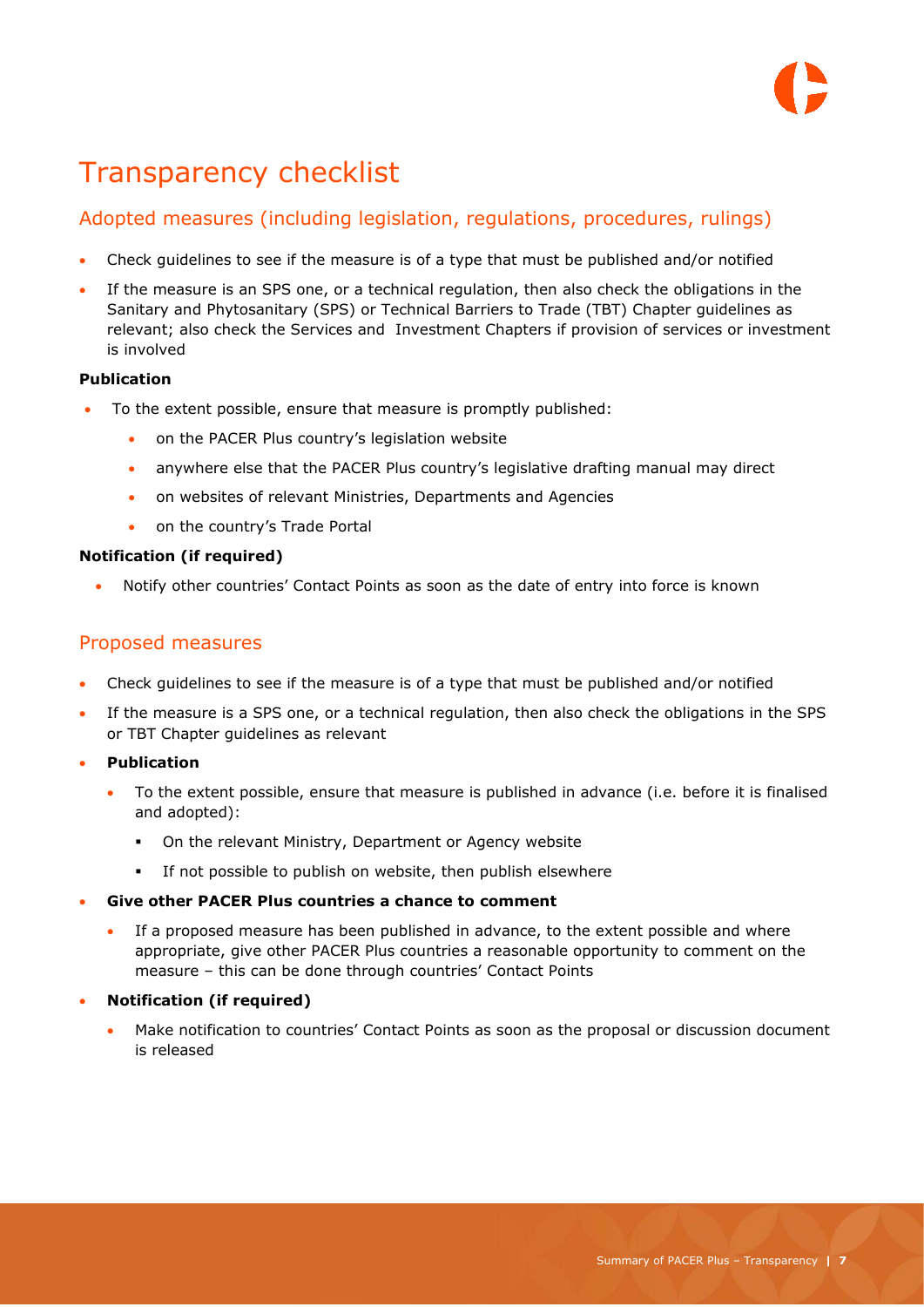## <span id="page-6-0"></span>Transparency checklist

#### <span id="page-6-1"></span>Adopted measures (including legislation, regulations, procedures, rulings)

- Check guidelines to see if the measure is of a type that must be published and/or notified
- If the measure is an SPS one, or a technical regulation, then also check the obligations in the Sanitary and Phytosanitary (SPS) or Technical Barriers to Trade (TBT) Chapter guidelines as relevant; also check the Services and Investment Chapters if provision of services or investment is involved

#### **Publication**

- To the extent possible, ensure that measure is promptly published:
	- on the PACER Plus country's legislation website
	- anywhere else that the PACER Plus country's legislative drafting manual may direct
	- on websites of relevant Ministries, Departments and Agencies
	- on the country's Trade Portal

#### **Notification (if required)**

Notify other countries' Contact Points as soon as the date of entry into force is known

#### <span id="page-6-2"></span>Proposed measures

- Check guidelines to see if the measure is of a type that must be published and/or notified
- If the measure is a SPS one, or a technical regulation, then also check the obligations in the SPS or TBT Chapter guidelines as relevant
- **Publication**
	- To the extent possible, ensure that measure is published in advance (i.e. before it is finalised and adopted):
		- On the relevant Ministry, Department or Agency website
		- If not possible to publish on website, then publish elsewhere

#### **Give other PACER Plus countries a chance to comment**

 If a proposed measure has been published in advance, to the extent possible and where appropriate, give other PACER Plus countries a reasonable opportunity to comment on the measure – this can be done through countries' Contact Points

#### **Notification (if required)**

 Make notification to countries' Contact Points as soon as the proposal or discussion document is released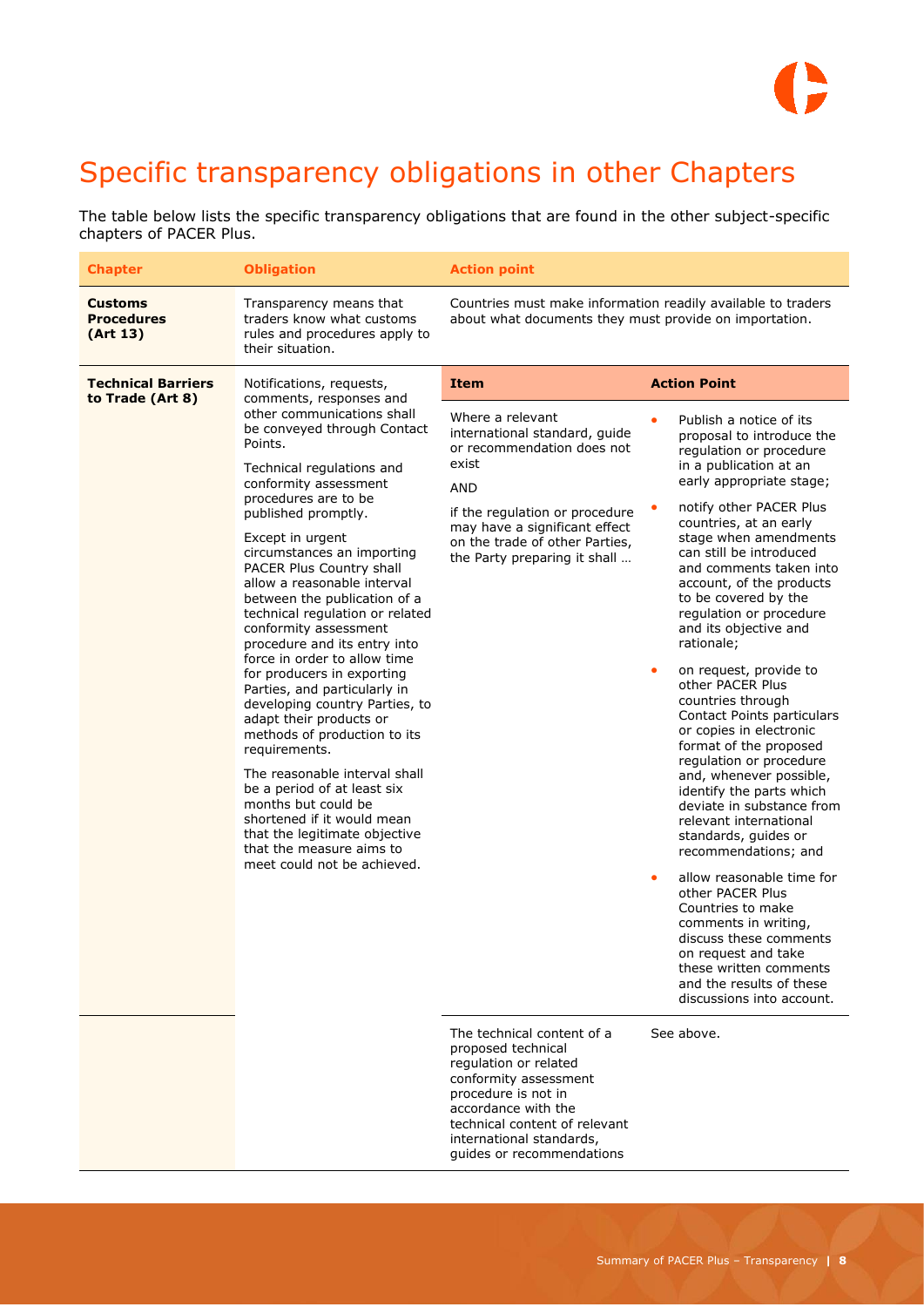## $\mathbf{D}$

### <span id="page-7-0"></span>Specific transparency obligations in other Chapters

The table below lists the specific transparency obligations that are found in the other subject-specific chapters of PACER Plus.

| <b>Chapter</b>                                  | <b>Obligation</b>                                                                                                                                                                                                                                                                                                                                                                                                                                                         | <b>Action point</b>                                                                                                                                                                                                                                 |                                                                                                                                                                                                                                                                                                                                                  |                                                                                                                                                                                                                                                                                                                                                                                   |
|-------------------------------------------------|---------------------------------------------------------------------------------------------------------------------------------------------------------------------------------------------------------------------------------------------------------------------------------------------------------------------------------------------------------------------------------------------------------------------------------------------------------------------------|-----------------------------------------------------------------------------------------------------------------------------------------------------------------------------------------------------------------------------------------------------|--------------------------------------------------------------------------------------------------------------------------------------------------------------------------------------------------------------------------------------------------------------------------------------------------------------------------------------------------|-----------------------------------------------------------------------------------------------------------------------------------------------------------------------------------------------------------------------------------------------------------------------------------------------------------------------------------------------------------------------------------|
| <b>Customs</b><br><b>Procedures</b><br>(Art 13) | Transparency means that<br>traders know what customs<br>rules and procedures apply to<br>their situation.                                                                                                                                                                                                                                                                                                                                                                 | Countries must make information readily available to traders<br>about what documents they must provide on importation.                                                                                                                              |                                                                                                                                                                                                                                                                                                                                                  |                                                                                                                                                                                                                                                                                                                                                                                   |
| <b>Technical Barriers</b><br>to Trade (Art 8)   | Notifications, requests,<br>comments, responses and<br>other communications shall<br>be conveyed through Contact<br>Points.<br>Technical regulations and<br>conformity assessment<br>procedures are to be<br>published promptly.<br>Except in urgent<br>circumstances an importing<br>PACER Plus Country shall<br>allow a reasonable interval<br>between the publication of a<br>technical regulation or related<br>conformity assessment<br>procedure and its entry into | <b>Item</b><br>Where a relevant<br>international standard, quide<br>or recommendation does not<br>exist<br>AND<br>if the regulation or procedure<br>may have a significant effect<br>on the trade of other Parties,<br>the Party preparing it shall | <b>Action Point</b><br>۰<br>rationale;                                                                                                                                                                                                                                                                                                           | Publish a notice of its<br>proposal to introduce the<br>regulation or procedure<br>in a publication at an<br>early appropriate stage;<br>notify other PACER Plus<br>countries, at an early<br>stage when amendments<br>can still be introduced<br>and comments taken into<br>account, of the products<br>to be covered by the<br>regulation or procedure<br>and its objective and |
|                                                 | force in order to allow time<br>for producers in exporting<br>Parties, and particularly in<br>developing country Parties, to<br>adapt their products or<br>methods of production to its<br>requirements.<br>The reasonable interval shall<br>be a period of at least six<br>months but could be<br>shortened if it would mean<br>that the legitimate objective<br>that the measure aims to<br>meet could not be achieved.                                                 |                                                                                                                                                                                                                                                     | on request, provide to<br>٠<br>other PACER Plus<br>countries through<br>Contact Points particulars<br>or copies in electronic<br>format of the proposed<br>regulation or procedure<br>and, whenever possible,<br>identify the parts which<br>deviate in substance from<br>relevant international<br>standards, guides or<br>recommendations; and |                                                                                                                                                                                                                                                                                                                                                                                   |
|                                                 |                                                                                                                                                                                                                                                                                                                                                                                                                                                                           |                                                                                                                                                                                                                                                     | allow reasonable time for<br>۰<br>other PACER Plus<br>Countries to make<br>comments in writing,<br>discuss these comments<br>on request and take<br>these written comments<br>and the results of these<br>discussions into account.                                                                                                              |                                                                                                                                                                                                                                                                                                                                                                                   |
|                                                 |                                                                                                                                                                                                                                                                                                                                                                                                                                                                           | The technical content of a<br>proposed technical<br>regulation or related<br>conformity assessment<br>procedure is not in<br>accordance with the<br>technical content of relevant<br>international standards,<br>guides or recommendations          | See above.                                                                                                                                                                                                                                                                                                                                       |                                                                                                                                                                                                                                                                                                                                                                                   |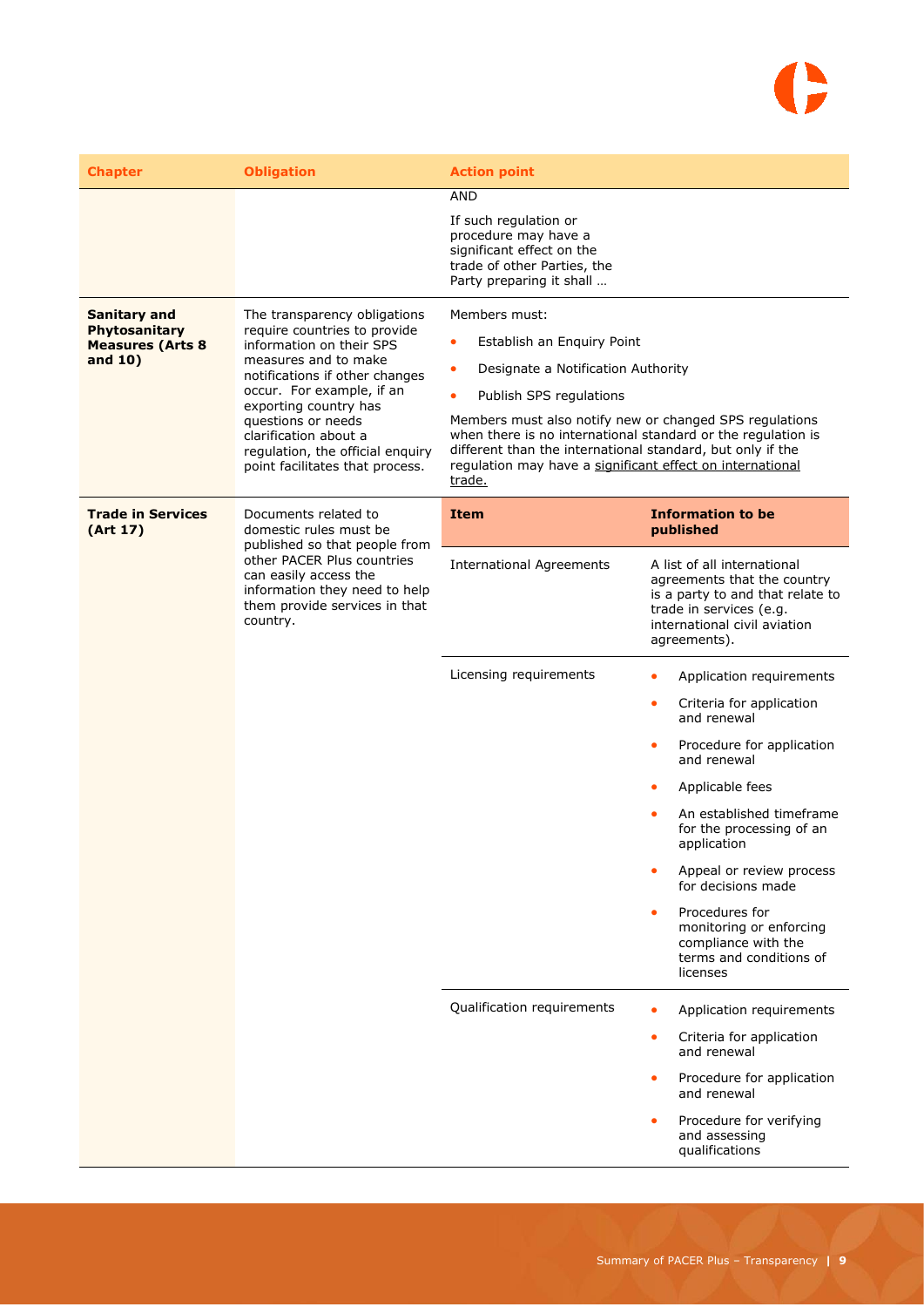# G

| <b>Chapter</b>                                                             | <b>Obligation</b>                                                                                                                                                                                                                                                                                                              | <b>Action point</b>                                                                                                                                                                                                                                                                                                                                                                                    |                                                                                                                                                                           |
|----------------------------------------------------------------------------|--------------------------------------------------------------------------------------------------------------------------------------------------------------------------------------------------------------------------------------------------------------------------------------------------------------------------------|--------------------------------------------------------------------------------------------------------------------------------------------------------------------------------------------------------------------------------------------------------------------------------------------------------------------------------------------------------------------------------------------------------|---------------------------------------------------------------------------------------------------------------------------------------------------------------------------|
|                                                                            |                                                                                                                                                                                                                                                                                                                                | <b>AND</b><br>If such regulation or<br>procedure may have a<br>significant effect on the<br>trade of other Parties, the<br>Party preparing it shall                                                                                                                                                                                                                                                    |                                                                                                                                                                           |
| <b>Sanitary and</b><br>Phytosanitary<br><b>Measures (Arts 8</b><br>and 10) | The transparency obligations<br>require countries to provide<br>information on their SPS<br>measures and to make<br>notifications if other changes<br>occur. For example, if an<br>exporting country has<br>questions or needs<br>clarification about a<br>regulation, the official enquiry<br>point facilitates that process. | Members must:<br>Establish an Enguiry Point<br>$\bullet$<br>Designate a Notification Authority<br>$\bullet$<br>Publish SPS regulations<br>Members must also notify new or changed SPS regulations<br>when there is no international standard or the regulation is<br>different than the international standard, but only if the<br>regulation may have a significant effect on international<br>trade. |                                                                                                                                                                           |
| <b>Trade in Services</b><br>(Art 17)                                       | Documents related to<br>Item<br>domestic rules must be<br>published so that people from<br>other PACER Plus countries<br><b>International Agreements</b><br>can easily access the<br>information they need to help<br>them provide services in that<br>country.<br>Licensing requirements                                      |                                                                                                                                                                                                                                                                                                                                                                                                        | <b>Information to be</b><br>published                                                                                                                                     |
|                                                                            |                                                                                                                                                                                                                                                                                                                                |                                                                                                                                                                                                                                                                                                                                                                                                        | A list of all international<br>agreements that the country<br>is a party to and that relate to<br>trade in services (e.g.<br>international civil aviation<br>agreements). |
|                                                                            |                                                                                                                                                                                                                                                                                                                                |                                                                                                                                                                                                                                                                                                                                                                                                        | Application requirements<br>$\bullet$                                                                                                                                     |
|                                                                            |                                                                                                                                                                                                                                                                                                                                |                                                                                                                                                                                                                                                                                                                                                                                                        | Criteria for application<br>$\bullet$<br>and renewal                                                                                                                      |
|                                                                            |                                                                                                                                                                                                                                                                                                                                | Procedure for application<br>۰<br>and renewal                                                                                                                                                                                                                                                                                                                                                          |                                                                                                                                                                           |
|                                                                            |                                                                                                                                                                                                                                                                                                                                |                                                                                                                                                                                                                                                                                                                                                                                                        | Applicable fees<br>۰                                                                                                                                                      |
|                                                                            |                                                                                                                                                                                                                                                                                                                                |                                                                                                                                                                                                                                                                                                                                                                                                        | An established timeframe<br>for the processing of an<br>application                                                                                                       |
|                                                                            |                                                                                                                                                                                                                                                                                                                                |                                                                                                                                                                                                                                                                                                                                                                                                        | Appeal or review process<br>for decisions made                                                                                                                            |
|                                                                            |                                                                                                                                                                                                                                                                                                                                |                                                                                                                                                                                                                                                                                                                                                                                                        | Procedures for<br>۰<br>monitoring or enforcing<br>compliance with the<br>terms and conditions of<br>licenses                                                              |
|                                                                            |                                                                                                                                                                                                                                                                                                                                | Qualification requirements                                                                                                                                                                                                                                                                                                                                                                             | Application requirements                                                                                                                                                  |
|                                                                            |                                                                                                                                                                                                                                                                                                                                |                                                                                                                                                                                                                                                                                                                                                                                                        | Criteria for application<br>$\bullet$<br>and renewal                                                                                                                      |
|                                                                            |                                                                                                                                                                                                                                                                                                                                |                                                                                                                                                                                                                                                                                                                                                                                                        | Procedure for application<br>۰<br>and renewal                                                                                                                             |
|                                                                            |                                                                                                                                                                                                                                                                                                                                |                                                                                                                                                                                                                                                                                                                                                                                                        | Procedure for verifying<br>٠<br>and assessing<br>qualifications                                                                                                           |